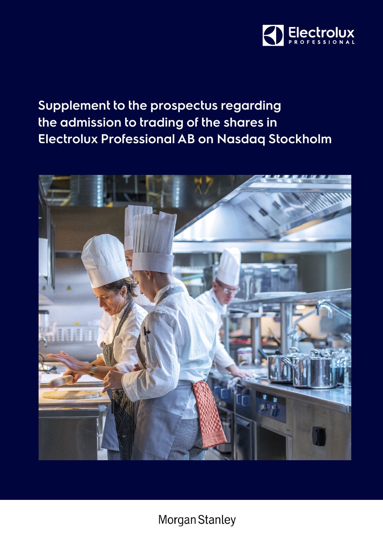

# **Supplement to the prospectus regarding the admission to trading of the shares in Electrolux Professional AB on Nasdaq Stockholm**



Morgan Stanley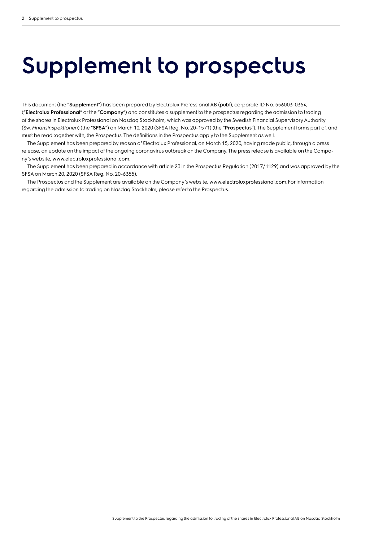# **Supplement to prospectus**

This document (the "**Supplement**") has been prepared by Electrolux Professional AB (publ), corporate ID No. 556003-0354, ("**Electrolux Professional**" or the "**Company**") and constitutes a supplement to the prospectus regarding the admission to trading of the shares in Electrolux Professional on Nasdaq Stockholm, which was approved by the Swedish Financial Supervisory Authority (Sw. *Finansinspektionen*) (the "**SFSA**") on March 10, 2020 (SFSA Reg. No. 20-1571) (the "**Prospectus**"). The Supplement forms part of, and must be read together with, the Prospectus. The definitions in the Prospectus apply to the Supplement as well.

The Supplement has been prepared by reason of Electrolux Professional, on March 15, 2020, having made public, through a press release, an update on the impact of the ongoing coronavirus outbreak on the Company. The press release is available on the Company's website, www.electroluxprofessional.com.

The Supplement has been prepared in accordance with article 23 in the Prospectus Regulation (2017/1129) and was approved by the SFSA on March 20, 2020 (SFSA Reg. No. 20-6355).

The Prospectus and the Supplement are available on the Company's website, www.electroluxprofessional.com. For information regarding the admission to trading on Nasdaq Stockholm, please refer to the Prospectus.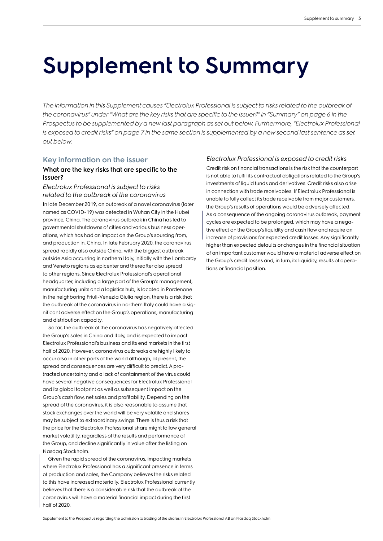# **Supplement to Summary**

The information in this Supplement causes "Electrolux Professional is subject to risks related to the outbreak of *the coronavirus" under "What are the key risks that are specific to the issuer?" in "Summary" on page 6 in the Prospectus to be supplemented by a new last paragraph as set out below. Furthermore, "Electrolux Professional is exposed to credit risks" on page 7 in the same section is supplemented by a new second last sentence as set out below.* 

### **Key information on the issuer**

### **What are the key risks that are specific to the issuer?**

#### *Electrolux Professional is subject to risks related to the outbreak of the coronavirus*

In late December 2019, an outbreak of a novel coronavirus (later named as COVID-19) was detected in Wuhan City in the Hubei province, China. The coronavirus outbreak in China has led to governmental shutdowns of cities and various business operations, which has had an impact on the Group's sourcing from, and production in, China. In late February 2020, the coronavirus spread rapidly also outside China, with the biggest outbreak outside Asia occurring in northern Italy, initially with the Lombardy and Veneto regions as epicenter and thereafter also spread to other regions. Since Electrolux Professional's operational headquarter, including a large part of the Group's management, manufacturing units and a logistics hub, is located in Pordenone in the neighboring Friuli-Venezia Giulia region, there is a risk that the outbreak of the coronavirus in northern Italy could have a significant adverse effect on the Group's operations, manufacturing and distribution capacity.

So far, the outbreak of the coronavirus has negatively affected the Group's sales in China and Italy, and is expected to impact Electrolux Professional's business and its end markets in the first half of 2020. However, coronavirus outbreaks are highly likely to occur also in other parts of the world although, at present, the spread and consequences are very difficult to predict. A protracted uncertainty and a lack of containment of the virus could have several negative consequences for Electrolux Professional and its global footprint as well as subsequent impact on the Group's cash flow, net sales and profitability. Depending on the spread of the coronavirus, it is also reasonable to assume that stock exchanges over the world will be very volatile and shares may be subject to extraordinary swings. There is thus a risk that the price for the Electrolux Professional share might follow general market volatility, regardless of the results and performance of the Group, and decline significantly in value after the listing on Nasdaq Stockholm.

Given the rapid spread of the coronavirus, impacting markets where Electrolux Professional has a significant presence in terms of production and sales, the Company believes the risks related to this have increased materially. Electrolux Professional currently believes that there is a considerable risk that the outbreak of the coronavirus will have a material financial impact during the first half of 2020.

### *Electrolux Professional is exposed to credit risks*

Credit risk on financial transactions is the risk that the counterpart is not able to fulfil its contractual obligations related to the Group's investments of liquid funds and derivatives. Credit risks also arise in connection with trade receivables. If Electrolux Professional is unable to fully collect its trade receivable from major customers, the Group's results of operations would be adversely affected. As a consequence of the ongoing coronavirus outbreak, payment cycles are expected to be prolonged, which may have a negative effect on the Group's liquidity and cash flow and require an increase of provisions for expected credit losses. Any significantly higher than expected defaults or changes in the financial situation of an important customer would have a material adverse effect on the Group's credit losses and, in turn, its liquidity, results of operations or financial position.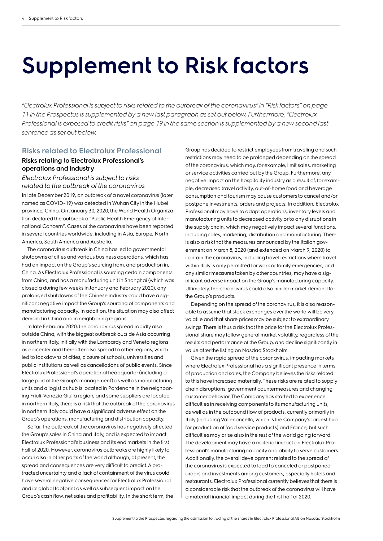# **Supplement to Risk factors**

*"Electrolux Professional is subject to risks related to the outbreak of the coronavirus" in "Risk factors" on page 11 in the Prospectus is supplemented by a new last paragraph as set out below. Furthermore, "Electrolux Professional is exposed to credit risks" on page 19 in the same section is supplemented by a new second last sentence as set out below.*

## **Risks related to Electrolux Professional**

## **Risks relating to Electrolux Professional's operations and industry**

*Electrolux Professional is subject to risks related to the outbreak of the coronavirus*

In late December 2019, an outbreak of a novel coronavirus (later named as COVID-19) was detected in Wuhan City in the Hubei province, China. On January 30, 2020, the World Health Organization declared the outbreak a "Public Health Emergency of International Concern". Cases of the coronavirus have been reported in several countries worldwide, including in Asia, Europe, North America, South America and Australia.

The coronavirus outbreak in China has led to governmental shutdowns of cities and various business operations, which has had an impact on the Group's sourcing from, and production in, China. As Electrolux Professional is sourcing certain components from China, and has a manufacturing unit in Shanghai (which was closed a during few weeks in January and February 2020), any prolonged shutdowns of the Chinese industry could have a significant negative impact the Group's sourcing of components and manufacturing capacity. In addition, the situation may also affect demand in China and in neighboring regions.

In late February 2020, the coronavirus spread rapidly also outside China, with the biggest outbreak outside Asia occurring in northern Italy, initially with the Lombardy and Veneto regions as epicenter and thereafter also spread to other regions, which led to lockdowns of cities, closure of schools, universities and public institutions as well as cancellations of public events. Since Electrolux Professional's operational headquarter (including a large part of the Group's management) as well as manufacturing units and a logistics hub is located in Pordenone in the neighboring Friuli-Venezia Giulia region, and some suppliers are located in northern Italy, there is a risk that the outbreak of the coronavirus in northern Italy could have a significant adverse effect on the Group's operations, manufacturing and distribution capacity.

So far, the outbreak of the coronavirus has negatively affected the Group's sales in China and Italy, and is expected to impact Electrolux Professional's business and its end markets in the first half of 2020. However, coronavirus outbreaks are highly likely to occur also in other parts of the world although, at present, the spread and consequences are very difficult to predict. A protracted uncertainty and a lack of containment of the virus could have several negative consequences for Electrolux Professional and its global footprint as well as subsequent impact on the Group's cash flow, net sales and profitability. In the short term, the Group has decided to restrict employees from traveling and such restrictions may need to be prolonged depending on the spread of the coronavirus, which may, for example, limit sales, marketing or service activities carried out by the Group. Furthermore, any negative impact on the hospitality industry as a result of, for example, decreased travel activity, out-of-home food and beverage consumption and tourism may cause customers to cancel and/or postpone investments, orders and projects. In addition, Electrolux Professional may have to adapt operations, inventory levels and manufacturing units to decreased activity or to any disruptions in the supply chain, which may negatively impact several functions, including sales, marketing, distribution and manufacturing. There is also a risk that the measures announced by the Italian government on March 8, 2020 (and extended on March 9, 2020) to contain the coronavirus, including travel restrictions where travel within Italy is only permitted for work or family emergencies, and any similar measures taken by other countries, may have a significant adverse impact on the Group's manufacturing capacity. Ultimately, the coronavirus could also hinder market demand for the Group's products.

Depending on the spread of the coronavirus, it is also reasonable to assume that stock exchanges over the world will be very volatile and that share prices may be subject to extraordinary swings. There is thus a risk that the price for the Electrolux Professional share may follow general market volatility, regardless of the results and performance of the Group, and decline significantly in value after the listing on Nasdaq Stockholm.

Given the rapid spread of the coronavirus, impacting markets where Electrolux Professional has a significant presence in terms of production and sales, the Company believes the risks related to this have increased materially. These risks are related to supply chain disruptions, government countermeasures and changing customer behavior. The Company has started to experience difficulties in receiving components to its manufacturing units, as well as in the outbound flow of products, currently primarily in Italy (including Vallenoncello, which is the Company's largest hub for production of food service products) and France, but such difficulties may arise also in the rest of the world going forward. The development may have a material impact on Electrolux Professional's manufacturing capacity and ability to serve customers. Additionally, the overall development related to the spread of the coronavirus is expected to lead to canceled or postponed orders and investments among customers, especially hotels and restaurants. Electrolux Professional currently believes that there is a considerable risk that the outbreak of the coronavirus will have a material financial impact during the first half of 2020.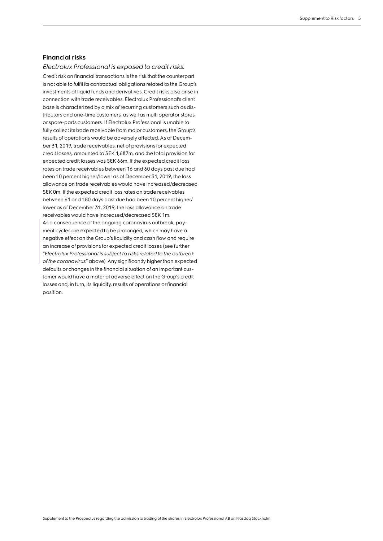### **Financial risks**

*Electrolux Professional is exposed to credit risks.* Credit risk on financial transactions is the risk that the counterpart is not able to fulfil its contractual obligations related to the Group's investments of liquid funds and derivatives. Credit risks also arise in connection with trade receivables. Electrolux Professional's client base is characterized by a mix of recurring customers such as distributors and one-time customers, as well as multi operator stores or spare-parts customers. If Electrolux Professional is unable to fully collect its trade receivable from major customers, the Group's results of operations would be adversely affected. As of December 31, 2019, trade receivables, net of provisions for expected credit losses, amounted to SEK 1,687m, and the total provision for expected credit losses was SEK 66m. If the expected credit loss rates on trade receivables between 16 and 60 days past due had been 10 percent higher/lower as of December 31, 2019, the loss allowance on trade receivables would have increased/decreased SEK 0m. If the expected credit loss rates on trade receivables between 61 and 180 days past due had been 10 percent higher/ lower as of December 31, 2019, the loss allowance on trade receivables would have increased/decreased SEK 1m. As a consequence of the ongoing coronavirus outbreak, payment cycles are expected to be prolonged, which may have a negative effect on the Group's liquidity and cash flow and require an increase of provisions for expected credit losses (see further "*Electrolux Professional is subject to risks related to the outbreak of the coronavirus*" above). Any significantly higher than expected defaults or changes in the financial situation of an important customer would have a material adverse effect on the Group's credit losses and, in turn, its liquidity, results of operations or financial position.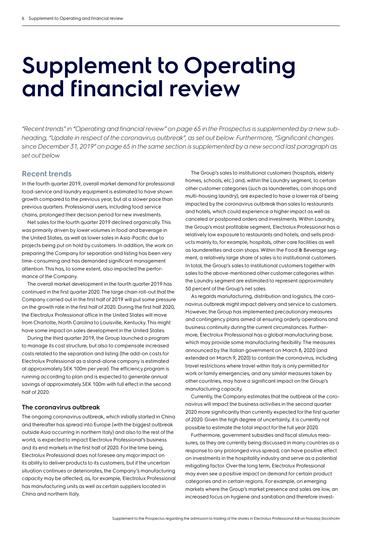# **Supplement to Operating and financial review**

*"Recent trends" in "Operating and financial review" on page 65 in the Prospectus is supplemented by a new subheading, "Update in respect of the coronavirus outbreak", as set out below. Furthermore, "Significant changes since December 31, 2019" on page 65 in the same section is supplemented by a new second last paragraph as set out below.*

# **Recent trends**

In the fourth quarter 2019, overall market demand for professional food-service and laundry equipment is estimated to have shown growth compared to the previous year, but at a slower pace than previous quarters. Professional users, including food service chains, prolonged their decision period for new investments.

Net sales for the fourth quarter 2019 declined organically. This was primarily driven by lower volumes in food and beverage in the United States, as well as lower sales in Asia-Pacific due to projects being put on hold by customers. In addition, the work on preparing the Company for separation and listing has been very time-consuming and has demanded significant management attention. This has, to some extent, also impacted the performance of the Company.

The overall market development in the fourth quarter 2019 has continued in the first quarter 2020. The large chain roll-out that the Company carried out in the first half of 2019 will put some pressure on the growth rate in the first half of 2020. During the first half 2020, the Electrolux Professional office in the United States will move from Charlotte, North Carolina to Louisville, Kentucky. This might have some impact on sales development in the United States.

During the third quarter 2019, the Group launched a program to manage its cost structure, but also to compensate increased costs related to the separation and listing (the add-on costs for Electrolux Professional as a stand-alone company is estimated at approximately SEK 100m per year). The efficiency program is running according to plan and is expected to generate annual savings of approximately SEK 100m with full effect in the second half of 2020.

#### **The coronavirus outbreak**

The ongoing coronavirus outbreak, which initially started in China and thereafter has spread into Europe (with the biggest outbreak outside Asia occurring in northern Italy) and also to the rest of the world, is expected to impact Electrolux Professional's business and its end markets in the first half of 2020. For the time being, Electrolux Professional does not foresee any major impact on its ability to deliver products to its customers, but if the uncertain situation continues or deteriorates, the Company's manufacturing capacity may be affected, as, for example, Electrolux Professional has manufacturing units as well as certain suppliers located in China and northern Italy.

The Group's sales to institutional customers (hospitals, elderly homes, schools, etc.) and, within the Laundry segment, to certain other customer categories (such as launderettes, coin shops and multi-housing laundry), are expected to have a lower risk of being impacted by the coronavirus outbreak than sales to restaurants and hotels, which could experience a higher impact as well as canceled or postponed orders and investments. Within Laundry, the Group's most profitable segment, Electrolux Professional has a relatively low exposure to restaurants and hotels, and sells products mainly to, for example, hospitals, other care facilities as well as launderettes and coin shops. Within the Food & Beverage segment, a relatively large share of sales is to institutional customers. In total, the Group's sales to institutional customers together with sales to the above-mentioned other customer categories within the Laundry segment are estimated to represent approximately 50 percent of the Group's net sales.

As regards manufacturing, distribution and logistics, the coronavirus outbreak might impact delivery and service to customers. However, the Group has implemented precautionary measures and contingency plans aimed at ensuring orderly operations and business continuity during the current circumstances. Furthermore, Electrolux Professional has a global manufacturing base, which may provide some manufacturing flexibility. The measures announced by the Italian government on March 8, 2020 (and extended on March 9, 2020) to contain the coronavirus, including travel restrictions where travel within Italy is only permitted for work or family emergencies, and any similar measures taken by other countries, may have a significant impact on the Group's manufacturing capacity.

Currently, the Company estimates that the outbreak of the coronavirus will impact the business activities in the second quarter 2020 more significantly than currently expected for the first quarter of 2020. Given the high degree of uncertainty, it is currently not possible to estimate the total impact for the full year 2020.

Furthermore, government subsidies and fiscal stimulus measures, as they are currently being discussed in many countries as a response to any prolonged virus spread, can have positive effect on investments in the hospitality industry and serve as a potential mitigating factor. Over the long term, Electrolux Professional may even see a positive impact on demand for certain product categories and in certain regions. For example, on emerging markets where the Group's market presence and sales are low, an increased focus on hygiene and sanitation and therefore invest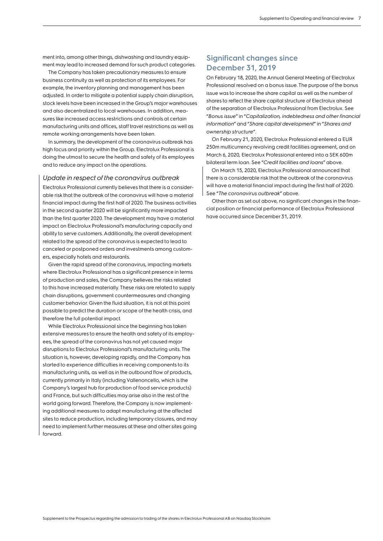ment into, among other things, dishwashing and laundry equipment may lead to increased demand for such product categories.

The Company has taken precautionary measures to ensure business continuity as well as protection of its employees. For example, the inventory planning and management has been adjusted. In order to mitigate a potential supply chain disruption, stock levels have been increased in the Group's major warehouses and also decentralized to local warehouses. In addition, measures like increased access restrictions and controls at certain manufacturing units and offices, staff travel restrictions as well as remote working arrangements have been taken.

In summary, the development of the coronavirus outbreak has high focus and priority within the Group. Electrolux Professional is doing the utmost to secure the health and safety of its employees and to reduce any impact on the operations.

#### *Update in respect of the coronavirus outbreak*

Electrolux Professional currently believes that there is a considerable risk that the outbreak of the coronavirus will have a material financial impact during the first half of 2020. The business activities in the second quarter 2020 will be significantly more impacted than the first quarter 2020. The development may have a material impact on Electrolux Professional's manufacturing capacity and ability to serve customers. Additionally, the overall development related to the spread of the coronavirus is expected to lead to canceled or postponed orders and investments among customers, especially hotels and restaurants.

Given the rapid spread of the coronavirus, impacting markets where Electrolux Professional has a significant presence in terms of production and sales, the Company believes the risks related to this have increased materially. These risks are related to supply chain disruptions, government countermeasures and changing customer behavior. Given the fluid situation, it is not at this point possible to predict the duration or scope of the health crisis, and therefore the full potential impact.

While Electrolux Professional since the beginning has taken extensive measures to ensure the health and safety of its employees, the spread of the coronavirus has not yet caused major disruptions to Electrolux Professional's manufacturing units. The situation is, however, developing rapidly, and the Company has started to experience difficulties in receiving components to its manufacturing units, as well as in the outbound flow of products, currently primarily in Italy (including Vallenoncello, which is the Company's largest hub for production of food service products) and France, but such difficulties may arise also in the rest of the world going forward. Therefore, the Company is now implementing additional measures to adapt manufacturing at the affected sites to reduce production, including temporary closures, and may need to implement further measures at these and other sites going forward.

# **Significant changes since December 31, 2019**

On February 18, 2020, the Annual General Meeting of Electrolux Professional resolved on a bonus issue. The purpose of the bonus issue was to increase the share capital as well as the number of shares to reflect the share capital structure of Electrolux ahead of the separation of Electrolux Professional from Electrolux. See "*Bonus issue*" in "*Capitalization, indebtedness and other financial information*" and "*Share capital development*" in "*Shares and ownership structure*".

On February 21, 2020, Electrolux Professional entered a EUR 250m multicurrency revolving credit facilities agreement, and on March 6, 2020, Electrolux Professional entered into a SEK 600m bilateral term loan. See "*Credit facilities and loans*" above.

On March 15, 2020, Electrolux Professional announced that there is a considerable risk that the outbreak of the coronavirus will have a material financial impact during the first half of 2020. See "*The coronavirus outbreak*" above.

Other than as set out above, no significant changes in the financial position or financial performance of Electrolux Professional have occurred since December 31, 2019.